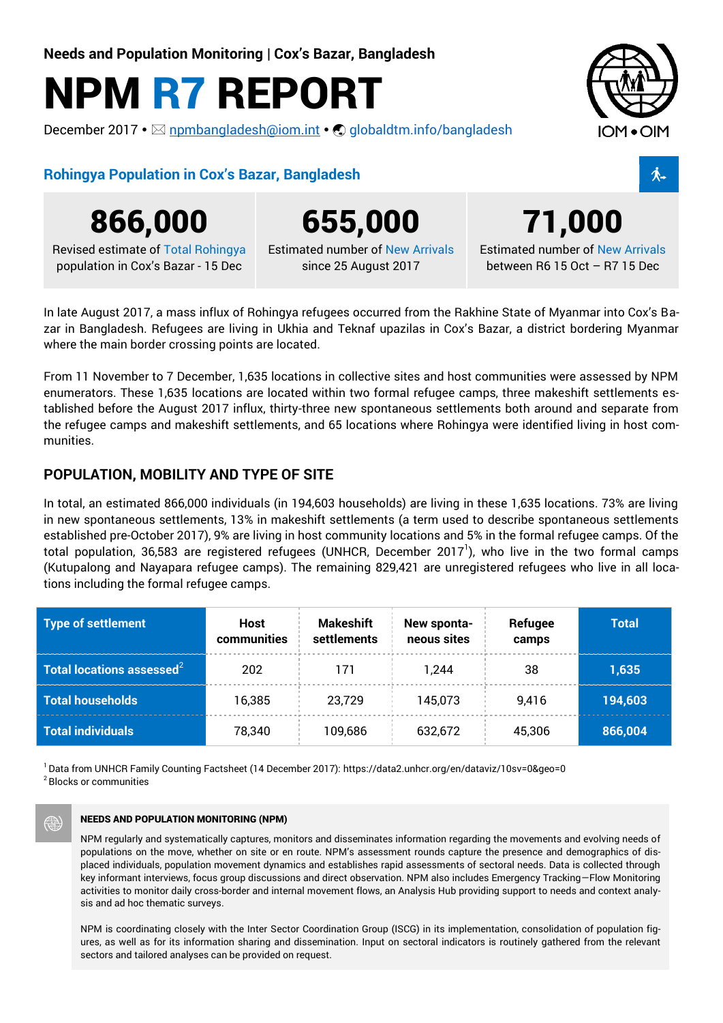**Needs and Population Monitoring | Cox's Bazar, Bangladesh**

# **NPM R7 REPORT**

December 2017 •  $\boxtimes$  [npmbangladesh@iom.int](mailto:npmbangladesh@iom.int) •  $\bigcirc$  [globaldtm.info/bangladesh](http://www.globaldtm.info/bangladesh)



## **Rohingya Population in Cox's Bazar, Bangladesh** K



**866,000 655,000 71,000**

Revised estimate of Total Rohingya population in Cox's Bazar - 15 Dec

Estimated number of New Arrivals since 25 August 2017

Estimated number of New Arrivals between R6 15 Oct – R7 15 Dec

In late August 2017, a mass influx of Rohingya refugees occurred from the Rakhine State of Myanmar into Cox's Bazar in Bangladesh. Refugees are living in Ukhia and Teknaf upazilas in Cox's Bazar, a district bordering Myanmar where the main border crossing points are located.

From 11 November to 7 December, 1,635 locations in collective sites and host communities were assessed by NPM enumerators. These 1,635 locations are located within two formal refugee camps, three makeshift settlements established before the August 2017 influx, thirty-three new spontaneous settlements both around and separate from the refugee camps and makeshift settlements, and 65 locations where Rohingya were identified living in host communities.

### **POPULATION, MOBILITY AND TYPE OF SITE**

In total, an estimated 866,000 individuals (in 194,603 households) are living in these 1,635 locations. 73% are living in new spontaneous settlements, 13% in makeshift settlements (a term used to describe spontaneous settlements established pre-October 2017), 9% are living in host community locations and 5% in the formal refugee camps. Of the total population, 36,583 are registered refugees (UNHCR, December 2017<sup>1</sup>), who live in the two formal camps (Kutupalong and Nayapara refugee camps). The remaining 829,421 are unregistered refugees who live in all locations including the formal refugee camps.

| <b>Type of settlement</b>              | Host<br>communities | <b>Makeshift</b><br>settlements | New sponta-<br>neous sites | Refugee<br>camps | <b>Total</b> |
|----------------------------------------|---------------------|---------------------------------|----------------------------|------------------|--------------|
| Total locations assessed $^2$ $^\circ$ | 202                 | 171                             | 1.244                      | 38               | 1,635        |
| <b>Total households</b>                | 16.385              | 23.729                          | 145.073                    | 9.416            | 194,603      |
| <b>Total individuals</b>               | 78,340              | 109,686                         | 632,672                    | 45,306           | 866,004      |

<sup>1</sup> Data from UNHCR Family Counting Factsheet (14 December 2017)[: https://data2.unhcr.org/en/dataviz/10sv=0&geo=0](https://data2.unhcr.org/en/dataviz/10sv=0&geo=0)

<sup>2</sup> Blocks or communities

#### **NEEDS AND POPULATION MONITORING (NPM)**

NPM regularly and systematically captures, monitors and disseminates information regarding the movements and evolving needs of populations on the move, whether on site or en route. NPM's assessment rounds capture the presence and demographics of displaced individuals, population movement dynamics and establishes rapid assessments of sectoral needs. Data is collected through key informant interviews, focus group discussions and direct observation. NPM also includes Emergency Tracking—Flow Monitoring activities to monitor daily cross-border and internal movement flows, an Analysis Hub providing support to needs and context analysis and ad hoc thematic surveys.

NPM is coordinating closely with the Inter Sector Coordination Group (ISCG) in its implementation, consolidation of population figures, as well as for its information sharing and dissemination. Input on sectoral indicators is routinely gathered from the relevant sectors and tailored analyses can be provided on request.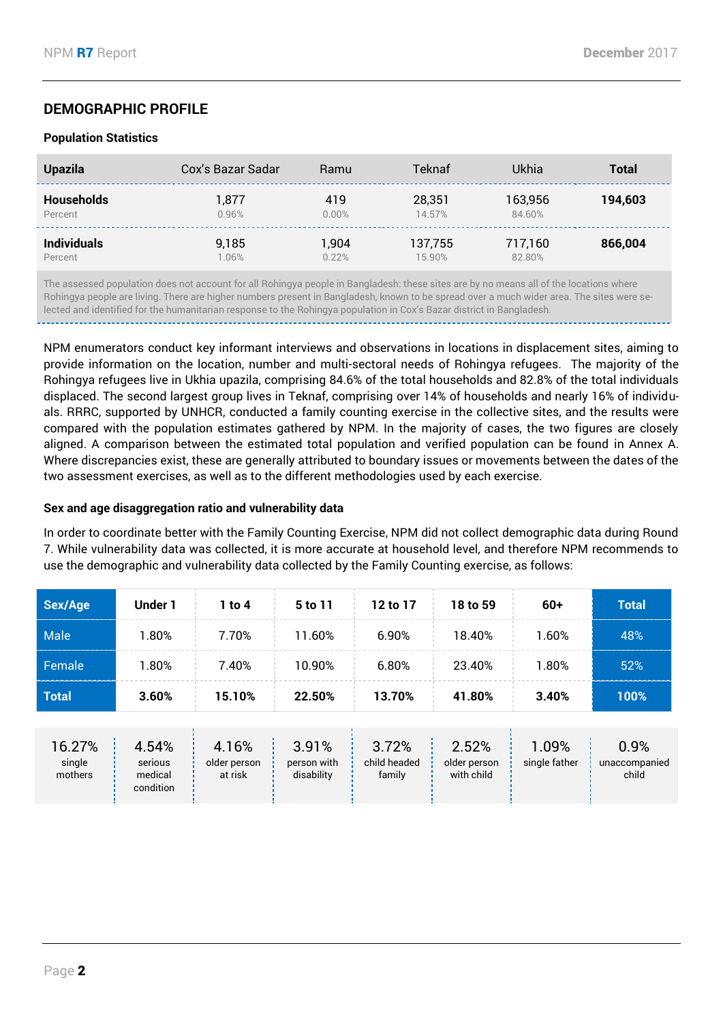# **DEMOGRAPHIC PROFILE**

#### **Population Statistics**

| <b>Upazila</b>     | Cox's Bazar Sadar | Ramu  | Teknaf  | Ukhia   | <b>Total</b> |
|--------------------|-------------------|-------|---------|---------|--------------|
| <b>Households</b>  | 1.877             | 419   | 28,351  | 163.956 | 194.603      |
| Percent            | 0.96%             | 0.00% | 14.57%  | 84.60%  |              |
| <b>Individuals</b> | 9,185             | 1,904 | 137,755 | 717,160 | 866,004      |
| Percent            | 1.06%             | 0.22% | 15.90%  | 82.80%  |              |

The assessed population does not account for all Rohingya people in Bangladesh: these sites are by no means all of the locations where Rohingya people are living. There are higher numbers present in Bangladesh, known to be spread over a much wider area. The sites were selected and identified for the humanitarian response to the Rohingya population in Cox's Bazar district in Bangladesh.

NPM enumerators conduct key informant interviews and observations in locations in displacement sites, aiming to provide information on the location, number and multi-sectoral needs of Rohingya refugees. The majority of the Rohingya refugees live in Ukhia upazila, comprising 84.6% of the total households and 82.8% of the total individuals displaced. The second largest group lives in Teknaf, comprising over 14% of households and nearly 16% of individuals. RRRC, supported by UNHCR, conducted a family counting exercise in the collective sites, and the results were compared with the population estimates gathered by NPM. In the majority of cases, the two figures are closely aligned. A comparison between the estimated total population and verified population can be found in Annex A. Where discrepancies exist, these are generally attributed to boundary issues or movements between the dates of the two assessment exercises, as well as to the different methodologies used by each exercise.

#### **Sex and age disaggregation ratio and vulnerability data**

In order to coordinate better with the Family Counting Exercise, NPM did not collect demographic data during Round 7. While vulnerability data was collected, it is more accurate at household level, and therefore NPM recommends to use the demographic and vulnerability data collected by the Family Counting exercise, as follows:

| Sex/Age                     | Under 1                                  | $1$ to $4$                       | 5 to 11                            | 12 to 17                        | 18 to 59                            | $60+$                  | <b>Total</b>                   |
|-----------------------------|------------------------------------------|----------------------------------|------------------------------------|---------------------------------|-------------------------------------|------------------------|--------------------------------|
| Male                        | 1.80%                                    | 7.70%                            | 11.60%                             | 6.90%                           | 18.40%                              | 1.60%                  | 48%                            |
| Female                      | 1.80%                                    | 7.40%                            | 10.90%                             | 6.80%                           | 23.40%                              | 1.80%                  | 52%                            |
| <b>Total</b>                | 3.60%                                    | 15.10%                           | 22.50%                             | 13.70%                          | 41.80%                              | 3.40%                  | 100%                           |
| 16.27%<br>single<br>mothers | 4.54%<br>serious<br>medical<br>condition | 4.16%<br>older person<br>at risk | 3.91%<br>person with<br>disability | 3.72%<br>child headed<br>family | 2.52%<br>older person<br>with child | 1.09%<br>single father | 0.9%<br>unaccompanied<br>child |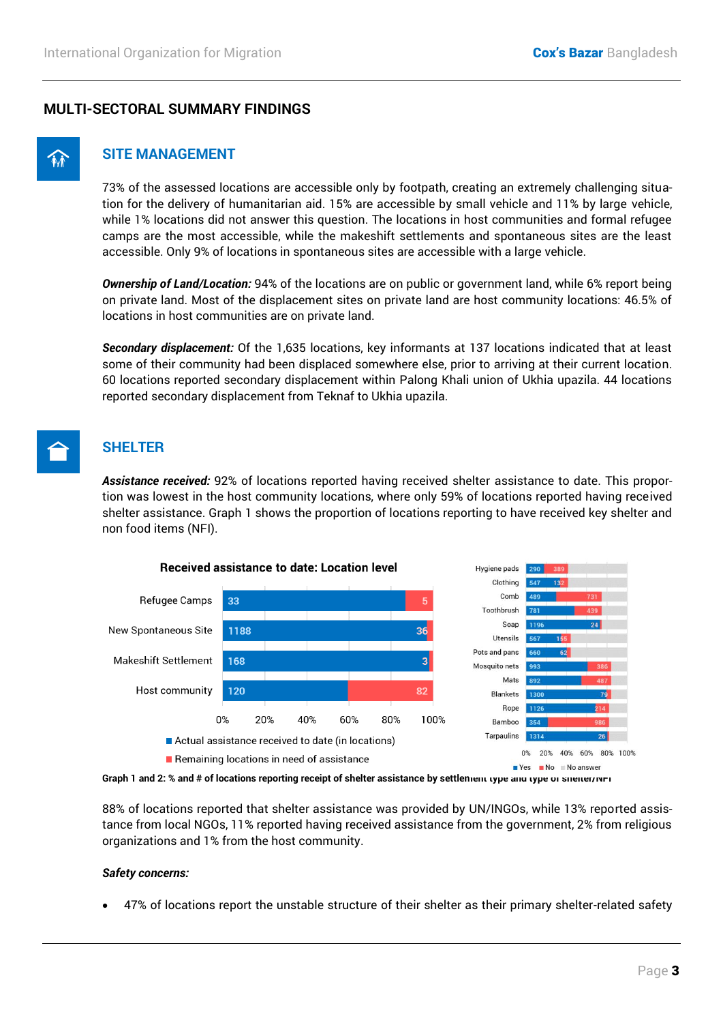#### **MULTI-SECTORAL SUMMARY FINDINGS**



#### ! **SITE MANAGEMENT**

73% of the assessed locations are accessible only by footpath, creating an extremely challenging situation for the delivery of humanitarian aid. 15% are accessible by small vehicle and 11% by large vehicle, while 1% locations did not answer this question. The locations in host communities and formal refugee camps are the most accessible, while the makeshift settlements and spontaneous sites are the least accessible. Only 9% of locations in spontaneous sites are accessible with a large vehicle.

*Ownership of Land/Location:* 94% of the locations are on public or government land, while 6% report being on private land. Most of the displacement sites on private land are host community locations: 46.5% of locations in host communities are on private land.

*Secondary displacement:* Of the 1,635 locations, key informants at 137 locations indicated that at least some of their community had been displaced somewhere else, prior to arriving at their current location. 60 locations reported secondary displacement within Palong Khali union of Ukhia upazila. 44 locations reported secondary displacement from Teknaf to Ukhia upazila.

# ( **SHELTER**

*Assistance received:* 92% of locations reported having received shelter assistance to date. This proportion was lowest in the host community locations, where only 59% of locations reported having received shelter assistance. Graph 1 shows the proportion of locations reporting to have received key shelter and non food items (NFI).



**Graph 1 and 2: % and # of locations reporting receipt of shelter assistance by settlement type and type of shelter/NFI** 

88% of locations reported that shelter assistance was provided by UN/INGOs, while 13% reported assistance from local NGOs, 11% reported having received assistance from the government, 2% from religious organizations and 1% from the host community.

#### *Safety concerns:*

47% of locations report the unstable structure of their shelter as their primary shelter-related safety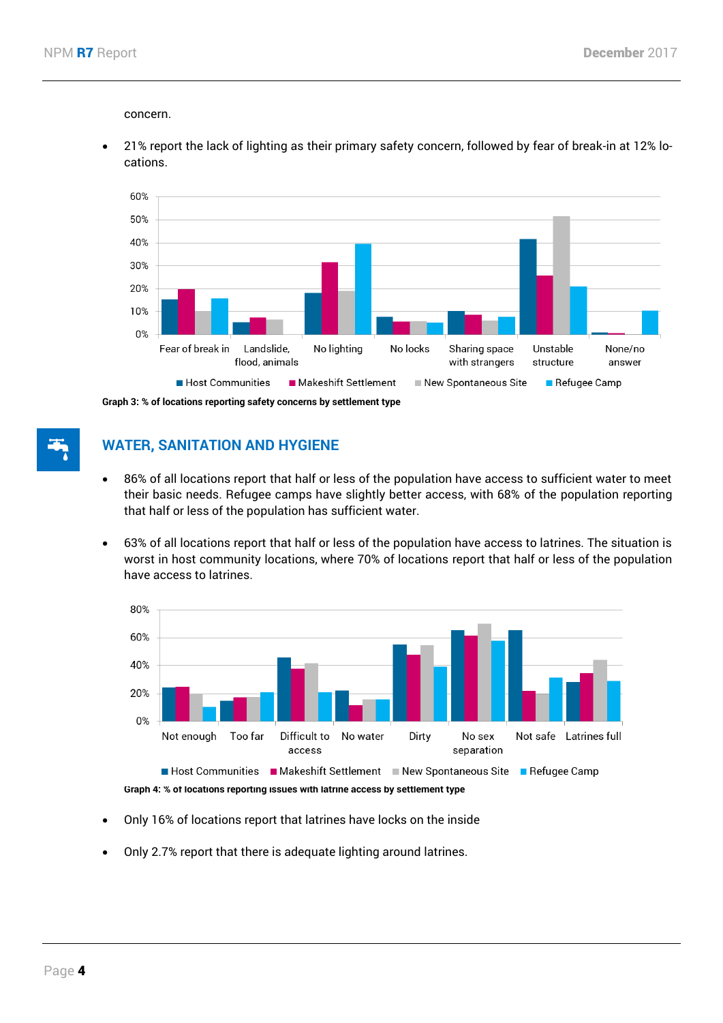concern.

 21% report the lack of lighting as their primary safety concern, followed by fear of break-in at 12% locations.



**Graph 3: % of locations reporting safety concerns by settlement type**

# **WATER, SANITATION AND HYGIENE**

- 86% of all locations report that half or less of the population have access to sufficient water to meet their basic needs. Refugee camps have slightly better access, with 68% of the population reporting that half or less of the population has sufficient water.
- 63% of all locations report that half or less of the population have access to latrines. The situation is worst in host community locations, where 70% of locations report that half or less of the population have access to latrines.



**Graph 4: % of locations reporting issues with latrine access by settlement type**

- Only 16% of locations report that latrines have locks on the inside
- Only 2.7% report that there is adequate lighting around latrines.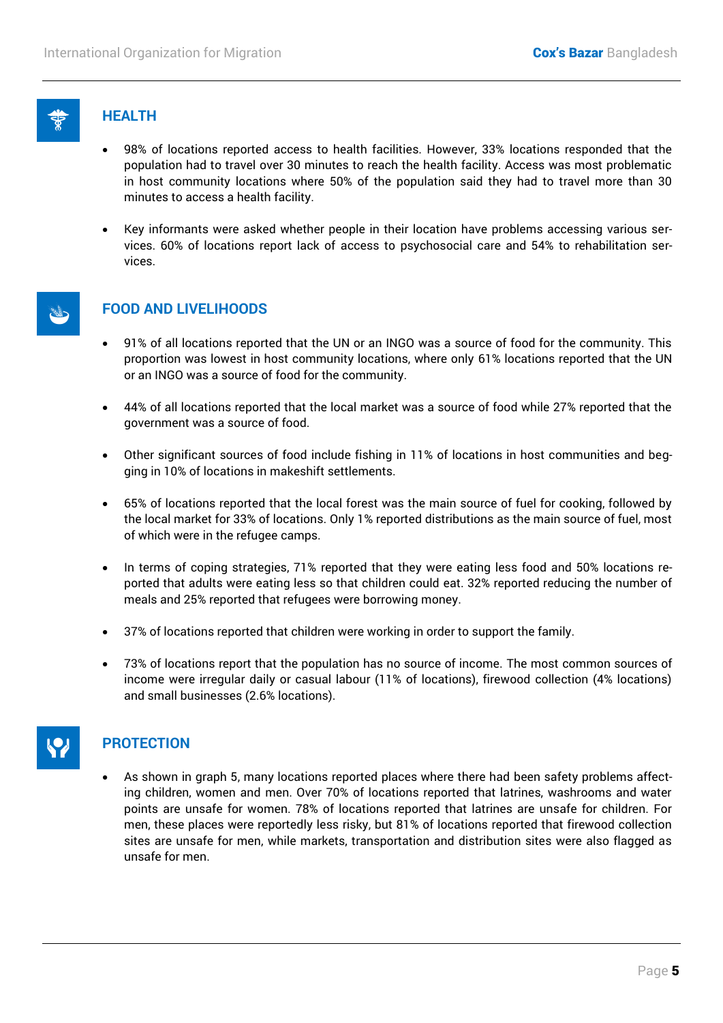

#### + **HEALTH**

- 98% of locations reported access to health facilities. However, 33% locations responded that the population had to travel over 30 minutes to reach the health facility. Access was most problematic in host community locations where 50% of the population said they had to travel more than 30 minutes to access a health facility.
- Key informants were asked whether people in their location have problems accessing various services. 60% of locations report lack of access to psychosocial care and 54% to rehabilitation services.



## ) **FOOD AND LIVELIHOODS**

- 91% of all locations reported that the UN or an INGO was a source of food for the community. This proportion was lowest in host community locations, where only 61% locations reported that the UN or an INGO was a source of food for the community.
- 44% of all locations reported that the local market was a source of food while 27% reported that the government was a source of food.
- Other significant sources of food include fishing in 11% of locations in host communities and begging in 10% of locations in makeshift settlements.
- 65% of locations reported that the local forest was the main source of fuel for cooking, followed by the local market for 33% of locations. Only 1% reported distributions as the main source of fuel, most of which were in the refugee camps.
- In terms of coping strategies, 71% reported that they were eating less food and 50% locations reported that adults were eating less so that children could eat. 32% reported reducing the number of meals and 25% reported that refugees were borrowing money.
- 37% of locations reported that children were working in order to support the family.
- 73% of locations report that the population has no source of income. The most common sources of income were irregular daily or casual labour (11% of locations), firewood collection (4% locations) and small businesses (2.6% locations).



# & **PROTECTION**

 As shown in graph 5, many locations reported places where there had been safety problems affecting children, women and men. Over 70% of locations reported that latrines, washrooms and water points are unsafe for women. 78% of locations reported that latrines are unsafe for children. For men, these places were reportedly less risky, but 81% of locations reported that firewood collection sites are unsafe for men, while markets, transportation and distribution sites were also flagged as unsafe for men.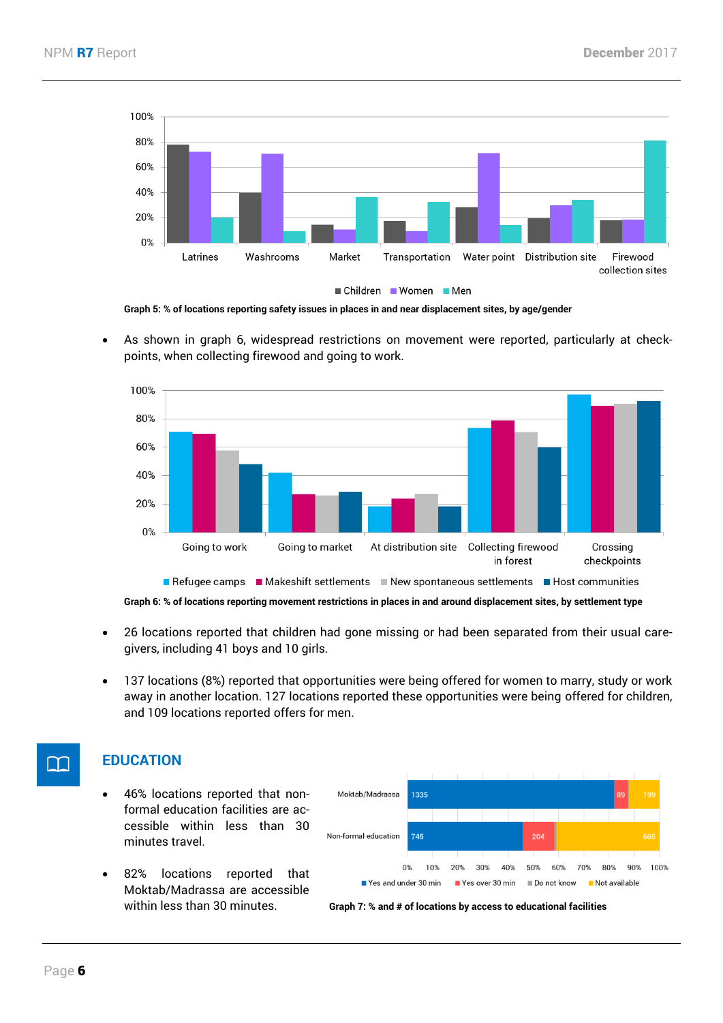

**Graph 5: % of locations reporting safety issues in places in and near displacement sites, by age/gender**

 As shown in graph 6, widespread restrictions on movement were reported, particularly at checkpoints, when collecting firewood and going to work.



**Graph 6: % of locations reporting movement restrictions in places in and around displacement sites, by settlement type**

- 26 locations reported that children had gone missing or had been separated from their usual caregivers, including 41 boys and 10 girls.
- 137 locations (8%) reported that opportunities were being offered for women to marry, study or work away in another location. 127 locations reported these opportunities were being offered for children, and 109 locations reported offers for men.

# **THE EDUCATION**

- 46% locations reported that nonformal education facilities are accessible within less than 30 minutes travel.
- 82% locations reported that Moktab/Madrassa are accessible



within less than 30 minutes. **Graph 7: % and # of locations by access to educational facilities**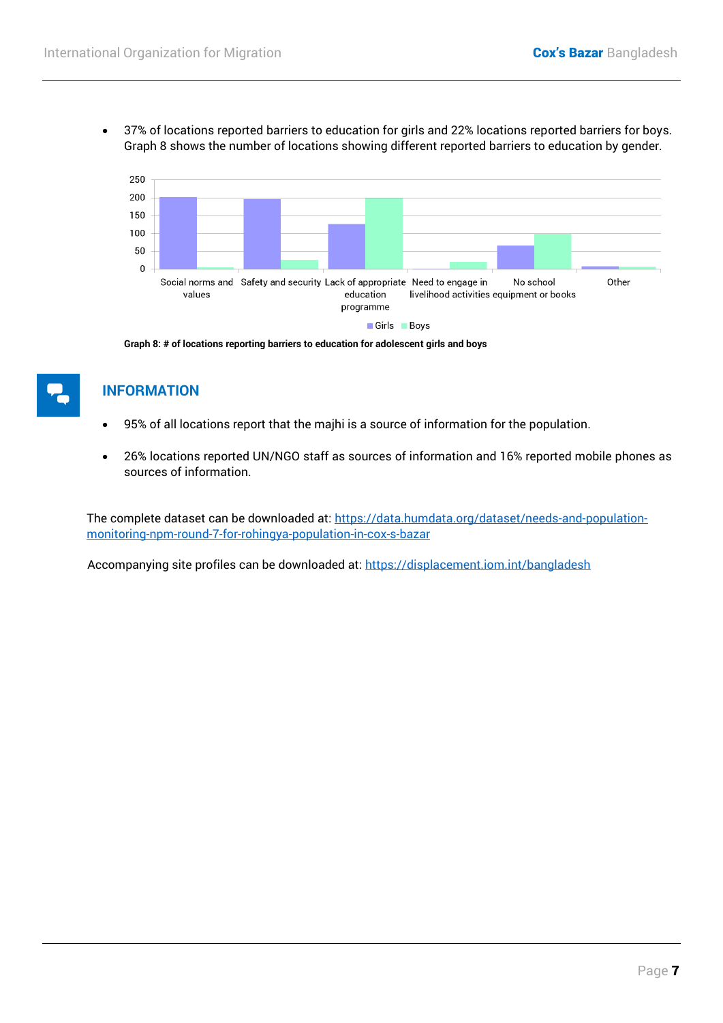37% of locations reported barriers to education for girls and 22% locations reported barriers for boys. Graph 8 shows the number of locations showing different reported barriers to education by gender.



**Graph 8: # of locations reporting barriers to education for adolescent girls and boys**

#### l **INFORMATION**

- 95% of all locations report that the majhi is a source of information for the population.
- 26% locations reported UN/NGO staff as sources of information and 16% reported mobile phones as sources of information.

The complete dataset can be downloaded at: [https://data.humdata.org/dataset/needs-and-population](https://data.humdata.org/dataset/needs-and-population-monitoring-npm-round-7-for-rohingya-population-in-cox-s-bazar)[monitoring-npm-round-7-for-rohingya-population-in-cox-s-bazar](https://data.humdata.org/dataset/needs-and-population-monitoring-npm-round-7-for-rohingya-population-in-cox-s-bazar)

Accompanying site profiles can be downloaded at:<https://displacement.iom.int/bangladesh>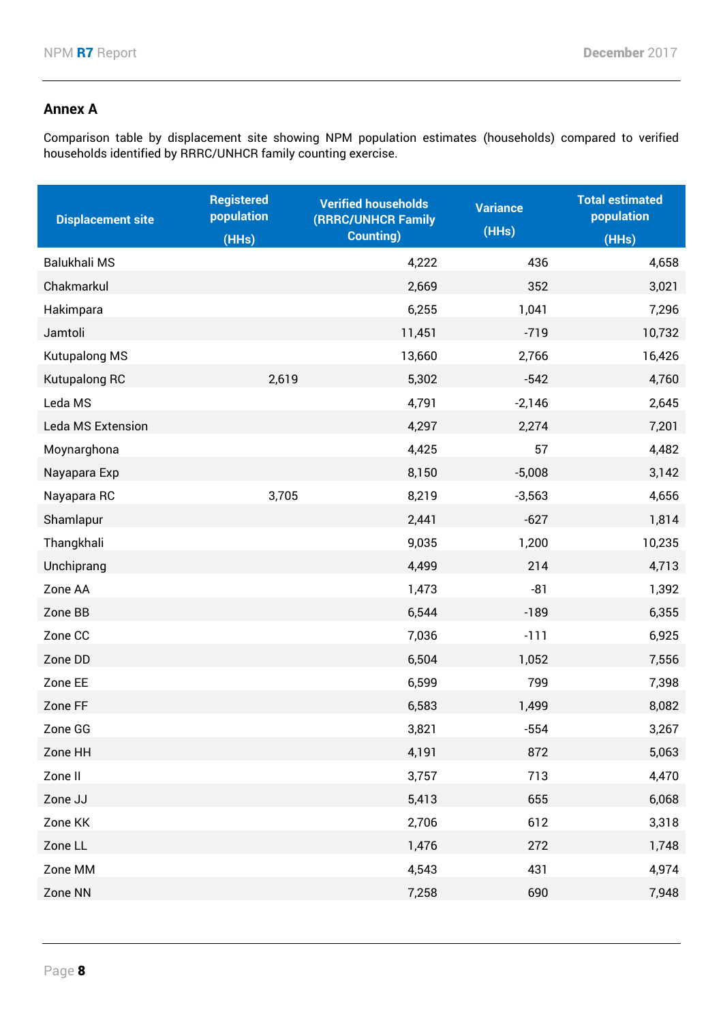## **Annex A**

Comparison table by displacement site showing NPM population estimates (households) compared to verified households identified by RRRC/UNHCR family counting exercise.

| <b>Displacement site</b> | <b>Registered</b><br>population | <b>Verified households</b><br>(RRRC/UNHCR Family | <b>Variance</b> | <b>Total estimated</b><br>population |
|--------------------------|---------------------------------|--------------------------------------------------|-----------------|--------------------------------------|
|                          | (HHs)                           | <b>Counting)</b>                                 | (HHs)           | (HHs)                                |
| Balukhali MS             |                                 | 4,222                                            | 436             | 4,658                                |
| Chakmarkul               |                                 | 2,669                                            | 352             | 3,021                                |
| Hakimpara                |                                 | 6,255                                            | 1,041           | 7,296                                |
| Jamtoli                  |                                 | 11,451                                           | $-719$          | 10,732                               |
| Kutupalong MS            |                                 | 13,660                                           | 2,766           | 16,426                               |
| Kutupalong RC            | 2,619                           | 5,302                                            | $-542$          | 4,760                                |
| Leda MS                  |                                 | 4,791                                            | $-2,146$        | 2,645                                |
| Leda MS Extension        |                                 | 4,297                                            | 2,274           | 7,201                                |
| Moynarghona              |                                 | 4,425                                            | 57              | 4,482                                |
| Nayapara Exp             |                                 | 8,150                                            | $-5,008$        | 3,142                                |
| Nayapara RC              | 3,705                           | 8,219                                            | $-3,563$        | 4,656                                |
| Shamlapur                |                                 | 2,441                                            | $-627$          | 1,814                                |
| Thangkhali               |                                 | 9,035                                            | 1,200           | 10,235                               |
| Unchiprang               |                                 | 4,499                                            | 214             | 4,713                                |
| Zone AA                  |                                 | 1,473                                            | $-81$           | 1,392                                |
| Zone BB                  |                                 | 6,544                                            | $-189$          | 6,355                                |
| Zone CC                  |                                 | 7,036                                            | $-111$          | 6,925                                |
| Zone DD                  |                                 | 6,504                                            | 1,052           | 7,556                                |
| Zone EE                  |                                 | 6,599                                            | 799             | 7,398                                |
| Zone FF                  |                                 | 6,583                                            | 1,499           | 8,082                                |
| Zone GG                  |                                 | 3,821                                            | $-554$          | 3,267                                |
| Zone HH                  |                                 | 4,191                                            | 872             | 5,063                                |
| Zone II                  |                                 | 3,757                                            | 713             | 4,470                                |
| Zone JJ                  |                                 | 5,413                                            | 655             | 6,068                                |
| Zone KK                  |                                 | 2,706                                            | 612             | 3,318                                |
| Zone LL                  |                                 | 1,476                                            | 272             | 1,748                                |
| Zone MM                  |                                 | 4,543                                            | 431             | 4,974                                |
| Zone NN                  |                                 | 7,258                                            | 690             | 7,948                                |